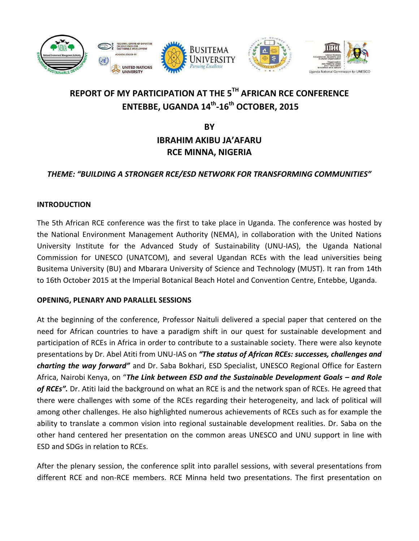

# **REPORT OF MY PARTICIPATION AT THE 5TH AFRICAN RCE CONFERENCE ENTEBBE, UGANDA 14th -16th OCTOBER, 2015**

**BY**

## **IBRAHIM AKIBU JA'AFARU RCE MINNA, NIGERIA**

### *THEME: "BUILDING A STRONGER RCE/ESD NETWORK FOR TRANSFORMING COMMUNITIES"*

#### **INTRODUCTION**

The 5th African RCE conference was the first to take place in Uganda. The conference was hosted by the National Environment Management Authority (NEMA), in collaboration with the United Nations University Institute for the Advanced Study of Sustainability (UNU-IAS), the Uganda National Commission for UNESCO (UNATCOM), and several Ugandan RCEs with the lead universities being Busitema University (BU) and Mbarara University of Science and Technology (MUST). It ran from 14th to 16th October 2015 at the Imperial Botanical Beach Hotel and Convention Centre, Entebbe, Uganda.

#### **OPENING, PLENARY AND PARALLEL SESSIONS**

At the beginning of the conference, Professor Naituli delivered a special paper that centered on the need for African countries to have a paradigm shift in our quest for sustainable development and participation of RCEs in Africa in order to contribute to a sustainable society. There were also keynote presentations by Dr. Abel Atiti from UNU-IAS on *"The status of African RCEs: successes, challenges and charting the way forward"* and Dr. Saba Bokhari, ESD Specialist, UNESCO Regional Office for Eastern Africa, Nairobi Kenya, on "The Link between ESD and the Sustainable Development Goals – and Role *of RCEs".* Dr. Atiti laid the background on what an RCE is and the network span of RCEs. He agreed that there were challenges with some of the RCEs regarding their heterogeneity, and lack of political will among other challenges. He also highlighted numerous achievements of RCEs such as for example the ability to translate a common vision into regional sustainable development realities. Dr. Saba on the other hand centered her presentation on the common areas UNESCO and UNU support in line with ESD and SDGs in relation to RCEs.

After the plenary session, the conference split into parallel sessions, with several presentations from different RCE and non-RCE members. RCE Minna held two presentations. The first presentation on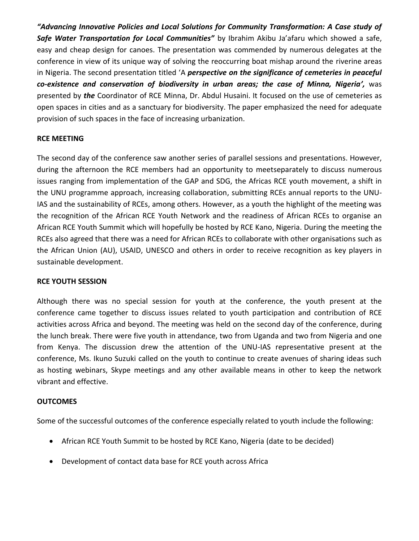*"Advancing Innovative Policies and Local Solutions for Community Transformation: A Case study of Safe Water Transportation for Local Communities"* by Ibrahim Akibu Ja'afaru which showed a safe, easy and cheap design for canoes. The presentation was commended by numerous delegates at the conference in view of its unique way of solving the reoccurring boat mishap around the riverine areas in Nigeria. The second presentation titled 'A *perspective on the significance of cemeteries in peaceful co‐existence and conservation of biodiversity in urban areas; the case of Minna, Nigeria',* was presented by *the* Coordinator of RCE Minna, Dr. Abdul Husaini. It focused on the use of cemeteries as open spaces in cities and as a sanctuary for biodiversity. The paper emphasized the need for adequate provision of such spaces in the face of increasing urbanization.

#### **RCE MEETING**

The second day of the conference saw another series of parallel sessions and presentations. However, during the afternoon the RCE members had an opportunity to meetseparately to discuss numerous issues ranging from implementation of the GAP and SDG, the Africas RCE youth movement, a shift in the UNU programme approach, increasing collaboration, submitting RCEs annual reports to the UNU-IAS and the sustainability of RCEs, among others. However, as a youth the highlight of the meeting was the recognition of the African RCE Youth Network and the readiness of African RCEs to organise an African RCE Youth Summit which will hopefully be hosted by RCE Kano, Nigeria. During the meeting the RCEs also agreed that there was a need for African RCEs to collaborate with other organisations such as the African Union (AU), USAID, UNESCO and others in order to receive recognition as key players in sustainable development.

#### **RCE YOUTH SESSION**

Although there was no special session for youth at the conference, the youth present at the conference came together to discuss issues related to youth participation and contribution of RCE activities across Africa and beyond. The meeting was held on the second day of the conference, during the lunch break. There were five youth in attendance, two from Uganda and two from Nigeria and one from Kenya. The discussion drew the attention of the UNU-IAS representative present at the conference, Ms. Ikuno Suzuki called on the youth to continue to create avenues of sharing ideas such as hosting webinars, Skype meetings and any other available means in other to keep the network vibrant and effective.

#### **OUTCOMES**

Some of the successful outcomes of the conference especially related to youth include the following:

- African RCE Youth Summit to be hosted by RCE Kano, Nigeria (date to be decided)
- Development of contact data base for RCE youth across Africa